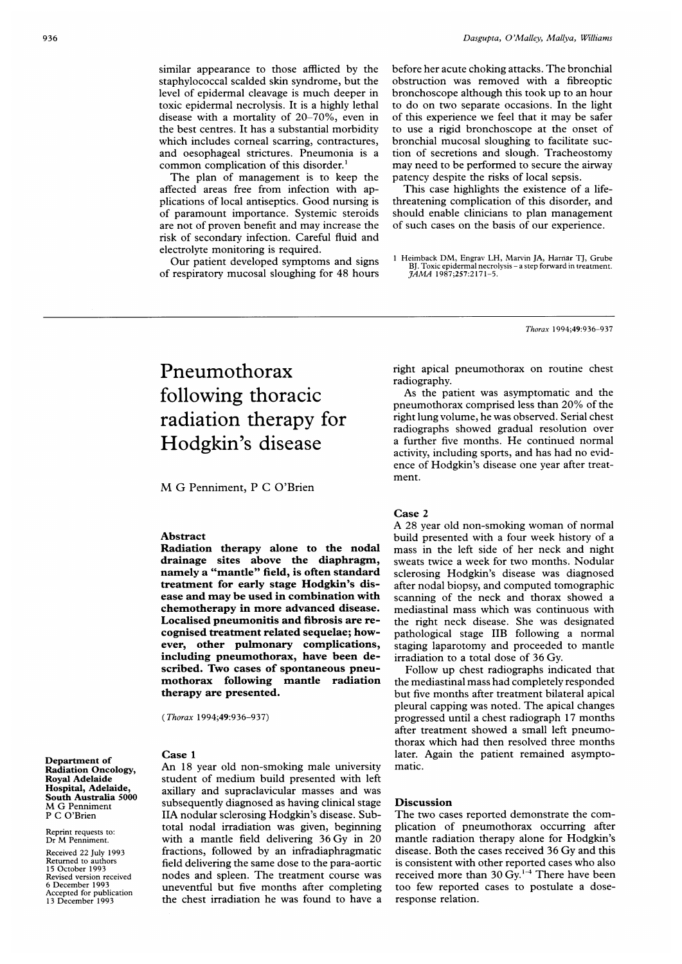similar appearance to those afflicted by the staphylococcal scalded skin syndrome, but the level of epidermal cleavage is much deeper in toxic epidermal necrolysis. It is a highly lethal disease with a mortality of 20-70%, even in the best centres. It has a substantial morbidity which includes comeal scarring, contractures, and oesophageal strictures. Pneumonia is a common complication of this disorder.'

The plan of management is to keep the affected areas free from infection with applications of local antiseptics. Good nursing is of paramount importance. Systemic steroids are not of proven benefit and may increase the risk of secondary infection. Careful fluid and electrolyte monitoring is required.

Our patient developed symptoms and signs of respiratory mucosal sloughing for 48 hours

before her acute choking attacks. The bronchial obstruction was removed with a fibreoptic bronchoscope although this took up to an hour to do on two separate occasions. In the light of this experience we feel that it may be safer to use a rigid bronchoscope at the onset of bronchial mucosal sloughing to facilitate suction of secretions and slough. Tracheostomy may need to be performed to secure the airway patency despite the risks of local sepsis.

This case highlights the existence of a lifethreatening complication of this disorder, and should enable clinicians to plan management of such cases on the basis of our experience.

<sup>I</sup> Heimback DM, Engrav LH, Marvin JA, Harnar TJ, Grube BJ. Toxic epidermal necrolysis – a step forward in treatment.<br>*JAMA* 1987;257:2171–5.

Thorax 1994;49:936-937

# Pneumothorax following thoracic radiation therapy for Hodgkin's disease

M G Penniment, <sup>P</sup> <sup>C</sup> O'Brien

### Abstract

Radiation therapy alone to the nodal drainage sites above the diaphragm, namely a "mantle" field, is often standard treatment for early stage Hodgkin's disease and may be used in combination with chemotherapy in more advanced disease. Localised pneumonitis and fibrosis are recognised treatment related sequelae; however, other pulmonary complications, including pneumothorax, have been described. Two cases of spontaneous pneumothorax following mantle radiation therapy are presented.

(Thorax 1994;49:936-937)

### Case <sup>1</sup>

Department of Radiation Oncology, Royal Adelaide Hospital, Adelaide, South Australia 5000 M G Penniment P C O'Brien

Reprint requests to: Dr M Penniment.

Received 22 July 1993 Returned to authors 15 October 1993 Revised version received 6 December 1993 Accepted for publication 13 December 1993

An 18 year old non-smoking male university student of medium build presented with left axillary and supraclavicular masses and was subsequently diagnosed as having clinical stage IIA nodular sclerosing Hodgkin's disease. Subtotal nodal irradiation was given, beginning with <sup>a</sup> mantle field delivering 36 Gy in 20 fractions, followed by an infradiaphragmatic field delivering the same dose to the para-aortic nodes and spleen. The treatment course was uneventful but five months after completing the chest irradiation he was found to have a right apical pneumothorax on routine chest radiography.

As the patient was asymptomatic and the pneumothorax comprised less than 20% of the right lung volume, he was observed. Serial chest radiographs showed gradual resolution over <sup>a</sup> further five months. He continued normal activity, including sports, and has had no evidence of Hodgkin's disease one year after treatment.

## Case 2

A 28 year old non-smoking woman of normal build presented with a four week history of a mass in the left side of her neck and night sweats twice a week for two months. Nodular sclerosing Hodgkin's disease was diagnosed after nodal biopsy, and computed tomographic scanning of the neck and thorax showed a mediastinal mass which was continuous with the right neck disease. She was designated pathological stage IIB following a normal staging laparotomy and proceeded to mantle irradiation to a total dose of 36 Gy.

Follow up chest radiographs indicated that the mediastinal mass had completely responded but five months after treatment bilateral apical pleural capping was noted. The apical changes progressed until a chest radiograph 17 months after treatment showed <sup>a</sup> small left pneumothorax which had then resolved three months later. Again the patient remained asymptomatic.

#### Discussion

The two cases reported demonstrate the complication of pneumothorax occurring after mantle radiation therapy alone for Hodgkin's disease. Both the cases received 36 Gy and this is consistent with other reported cases who also received more than 30 Gy.<sup>1-4</sup> There have been too few reported cases to postulate a doseresponse relation.